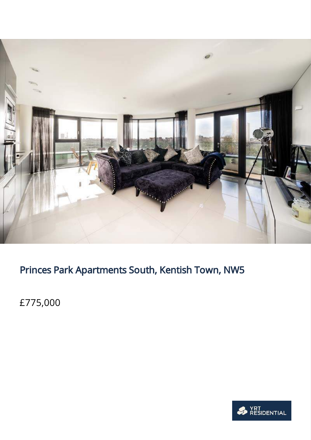

## Princes Park Apartments South, Kentish Town, NW5

£775,000

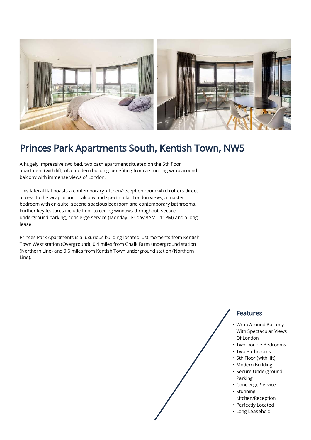

## Princes Park Apartments South, Kentish Town, NW5

A hugely impressive two bed, two bath apartment situated on the 5th floor apartment (with lift) of a modern building benefiting from a stunning wrap around balcony with immense views of London.

This lateral flat boasts a contemporary kitchen/reception room which offers direct access to the wrap around balcony and spectacular London views, a master bedroom with en-suite, second spacious bedroom and contemporary bathrooms. Further key features include floor to ceiling windows throughout, secure underground parking, concierge service (Monday - Friday 8AM - 11PM) and a long lease.

Princes Park Apartments is a luxurious building located just moments from Kentish Town West station (Overground), 0.4 miles from Chalk Farm underground station (Northern Line) and 0.6 miles from Kentish Town underground station (Northern Line).

## Features

- Wrap Around Balcony With Spectacular Views Of London
- Two Double Bedrooms •
- Two Bathrooms •
- 5th Floor (with lift) •
- Modern Building
- Secure Underground Parking
- Concierge Service • Stunning
- Kitchen/Reception • Perfectly Located
- 
- Long Leasehold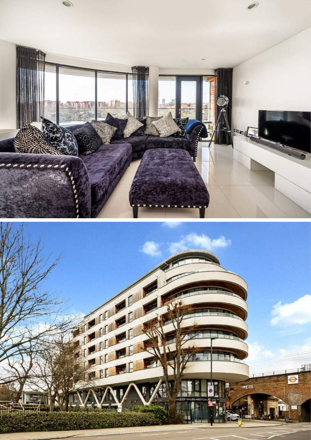